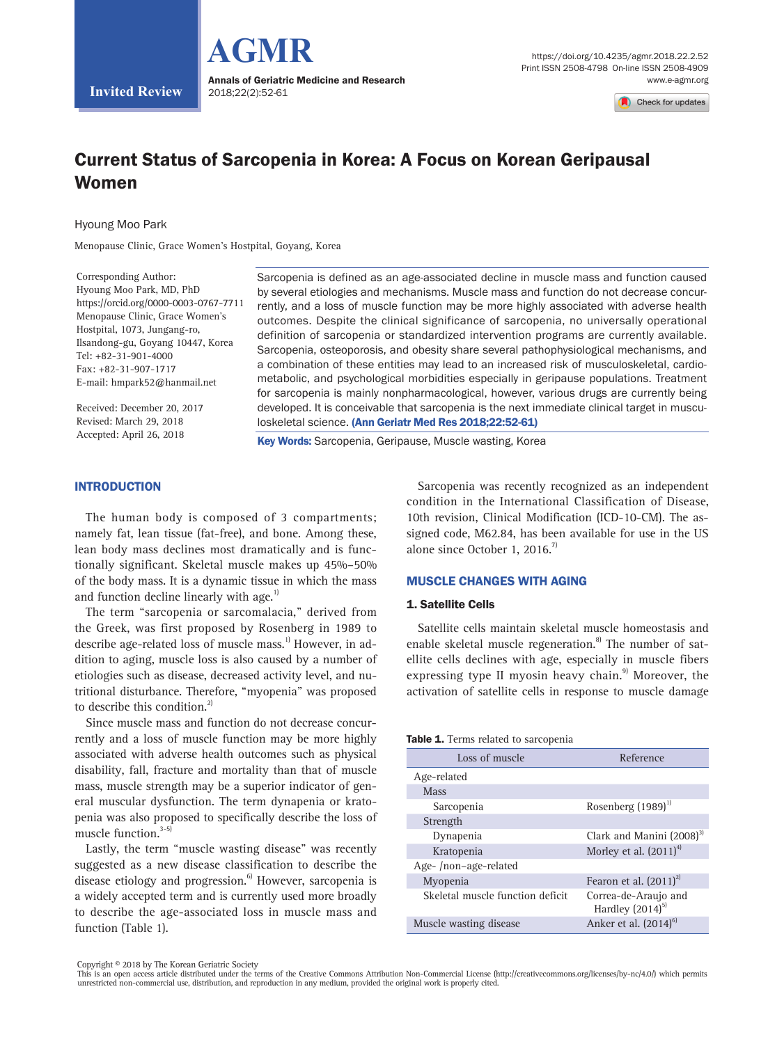

Check for undates

# Current Status of Sarcopenia in Korea: A Focus on Korean Geripausal Women

Hyoung Moo Park

**Invited Review**

Menopause Clinic, Grace Women's Hostpital, Goyang, Korea

Corresponding Author: Hyoung Moo Park, MD, PhD https://orcid.org/0000-0003-0767-7711 Menopause Clinic, Grace Women's Hostpital, 1073, Jungang-ro, Ilsandong-gu, Goyang 10447, Korea Tel: +82-31-901-4000 Fax: +82-31-907-1717 E-mail: hmpark52@hanmail.net

Received: December 20, 2017 Revised: March 29, 2018 Accepted: April 26, 2018

Sarcopenia is defined as an age-associated decline in muscle mass and function caused by several etiologies and mechanisms. Muscle mass and function do not decrease concurrently, and a loss of muscle function may be more highly associated with adverse health outcomes. Despite the clinical significance of sarcopenia, no universally operational definition of sarcopenia or standardized intervention programs are currently available. Sarcopenia, osteoporosis, and obesity share several pathophysiological mechanisms, and a combination of these entities may lead to an increased risk of musculoskeletal, cardiometabolic, and psychological morbidities especially in geripause populations. Treatment for sarcopenia is mainly nonpharmacological, however, various drugs are currently being developed. It is conceivable that sarcopenia is the next immediate clinical target in musculoskeletal science. (Ann Geriatr Med Res 2018;22:52-61)

Key Words: Sarcopenia, Geripause, Muscle wasting, Korea

### INTRODUCTION

The human body is composed of 3 compartments; namely fat, lean tissue (fat-free), and bone. Among these, lean body mass declines most dramatically and is functionally significant. Skeletal muscle makes up 45%–50% of the body mass. It is a dynamic tissue in which the mass and function decline linearly with age.<sup>1)</sup>

The term "sarcopenia or sarcomalacia," derived from the Greek, was first proposed by Rosenberg in 1989 to describe age-related loss of muscle mass.<sup>1)</sup> However, in addition to aging, muscle loss is also caused by a number of etiologies such as disease, decreased activity level, and nutritional disturbance. Therefore, "myopenia" was proposed to describe this condition. $^{2}$ 

Since muscle mass and function do not decrease concurrently and a loss of muscle function may be more highly associated with adverse health outcomes such as physical disability, fall, fracture and mortality than that of muscle mass, muscle strength may be a superior indicator of general muscular dysfunction. The term dynapenia or kratopenia was also proposed to specifically describe the loss of muscle function.<sup>3-5)</sup>

Lastly, the term "muscle wasting disease" was recently suggested as a new disease classification to describe the disease etiology and progression.<sup>6)</sup> However, sarcopenia is a widely accepted term and is currently used more broadly to describe the age-associated loss in muscle mass and function (Table 1).

Sarcopenia was recently recognized as an independent condition in the International Classification of Disease, 10th revision, Clinical Modification (ICD-10-CM). The assigned code, M62.84, has been available for use in the US alone since October 1, 2016.<sup>7)</sup>

### MUSCLE CHANGES WITH AGING

#### 1. Satellite Cells

Satellite cells maintain skeletal muscle homeostasis and enable skeletal muscle regeneration.<sup>8)</sup> The number of satellite cells declines with age, especially in muscle fibers expressing type II myosin heavy chain.<sup>9)</sup> Moreover, the activation of satellite cells in response to muscle damage

#### Table 1. Terms related to sarcopenia

| Loss of muscle                   | Reference                                    |
|----------------------------------|----------------------------------------------|
| Age-related                      |                                              |
| Mass                             |                                              |
| Sarcopenia                       | Rosenberg (1989) <sup>1)</sup>               |
| Strength                         |                                              |
| Dynapenia                        | Clark and Manini $(2008)^{3}$                |
| Kratopenia                       | Morley et al. $(2011)^4$                     |
| Age-/non-age-related             |                                              |
| Myopenia                         | Fearon et al. $(2011)^{2}$                   |
| Skeletal muscle function deficit | Correa-de-Araujo and<br>Hardley $(2014)^{5}$ |
| Muscle wasting disease           | Anker et al. (2014) <sup>6)</sup>            |

Copyright © 2018 by The Korean Geriatric Society

This is an open access article distributed under the terms of the Creative Commons Attribution Non-Commercial License (http://creativecommons.org/licenses/by-nc/4.0/) which permits unrestricted non-commercial use, distribution, and reproduction in any medium, provided the original work is properly cited.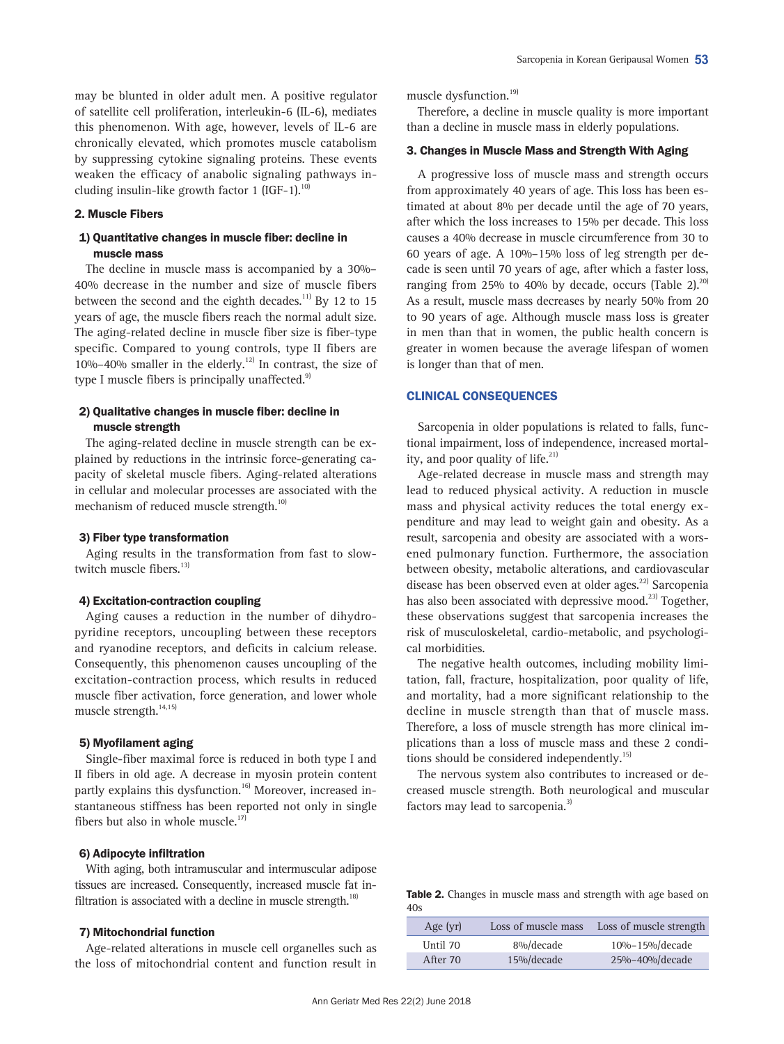# 2. Muscle Fibers

# 1) Quantitative changes in muscle fiber: decline in muscle mass

The decline in muscle mass is accompanied by a 30%– 40% decrease in the number and size of muscle fibers between the second and the eighth decades.<sup>11)</sup> By 12 to 15 years of age, the muscle fibers reach the normal adult size. The aging-related decline in muscle fiber size is fiber-type specific. Compared to young controls, type II fibers are  $10\% - 40\%$  smaller in the elderly.<sup>12)</sup> In contrast, the size of type I muscle fibers is principally unaffected. $9$ 

# 2) Qualitative changes in muscle fiber: decline in muscle strength

The aging-related decline in muscle strength can be explained by reductions in the intrinsic force-generating capacity of skeletal muscle fibers. Aging-related alterations in cellular and molecular processes are associated with the mechanism of reduced muscle strength.<sup>10)</sup>

#### 3) Fiber type transformation

Aging results in the transformation from fast to slowtwitch muscle fibers.<sup>13)</sup>

#### 4) Excitation-contraction coupling

Aging causes a reduction in the number of dihydropyridine receptors, uncoupling between these receptors and ryanodine receptors, and deficits in calcium release. Consequently, this phenomenon causes uncoupling of the excitation-contraction process, which results in reduced muscle fiber activation, force generation, and lower whole muscle strength.<sup>14,15)</sup>

#### 5) Myofilament aging

Single-fiber maximal force is reduced in both type I and II fibers in old age. A decrease in myosin protein content partly explains this dysfunction.<sup>16)</sup> Moreover, increased instantaneous stiffness has been reported not only in single fibers but also in whole muscle. $17$ 

# 6) Adipocyte infiltration

With aging, both intramuscular and intermuscular adipose tissues are increased. Consequently, increased muscle fat infiltration is associated with a decline in muscle strength.<sup>18)</sup>

### 7) Mitochondrial function

Age-related alterations in muscle cell organelles such as the loss of mitochondrial content and function result in

muscle dysfunction.<sup>19)</sup>

Therefore, a decline in muscle quality is more important than a decline in muscle mass in elderly populations.

# 3. Changes in Muscle Mass and Strength With Aging

A progressive loss of muscle mass and strength occurs from approximately 40 years of age. This loss has been estimated at about 8% per decade until the age of 70 years, after which the loss increases to 15% per decade. This loss causes a 40% decrease in muscle circumference from 30 to 60 years of age. A 10%–15% loss of leg strength per decade is seen until 70 years of age, after which a faster loss, ranging from 25% to 40% by decade, occurs (Table 2). $^{20}$ As a result, muscle mass decreases by nearly 50% from 20 to 90 years of age. Although muscle mass loss is greater in men than that in women, the public health concern is greater in women because the average lifespan of women is longer than that of men.

#### CLINICAL CONSEQUENCES

Sarcopenia in older populations is related to falls, functional impairment, loss of independence, increased mortality, and poor quality of life. $^{21}$ 

Age-related decrease in muscle mass and strength may lead to reduced physical activity. A reduction in muscle mass and physical activity reduces the total energy expenditure and may lead to weight gain and obesity. As a result, sarcopenia and obesity are associated with a worsened pulmonary function. Furthermore, the association between obesity, metabolic alterations, and cardiovascular disease has been observed even at older ages.<sup>22)</sup> Sarcopenia has also been associated with depressive mood.<sup>23)</sup> Together, these observations suggest that sarcopenia increases the risk of musculoskeletal, cardio-metabolic, and psychological morbidities.

The negative health outcomes, including mobility limitation, fall, fracture, hospitalization, poor quality of life, and mortality, had a more significant relationship to the decline in muscle strength than that of muscle mass. Therefore, a loss of muscle strength has more clinical implications than a loss of muscle mass and these 2 conditions should be considered independently. $15$ 

The nervous system also contributes to increased or decreased muscle strength. Both neurological and muscular factors may lead to sarcopenia.<sup>3)</sup>

Table 2. Changes in muscle mass and strength with age based on  $40s$ 

| Age $(yr)$ | Loss of muscle mass | Loss of muscle strength |
|------------|---------------------|-------------------------|
| Until 70   | 8%/decade           | 10%-15%/decade          |
| After 70   | 15%/decade          | 25%-40%/decade          |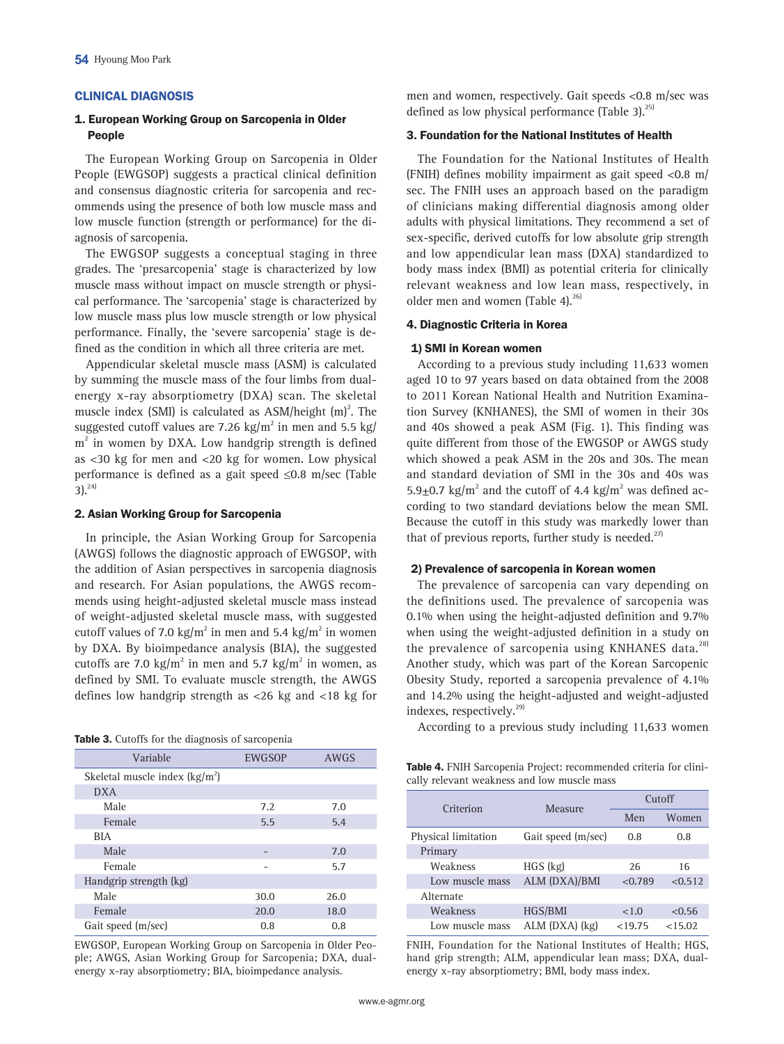### CLINICAL DIAGNOSIS

# 1. European Working Group on Sarcopenia in Older People

The European Working Group on Sarcopenia in Older People (EWGSOP) suggests a practical clinical definition and consensus diagnostic criteria for sarcopenia and recommends using the presence of both low muscle mass and low muscle function (strength or performance) for the diagnosis of sarcopenia.

The EWGSOP suggests a conceptual staging in three grades. The 'presarcopenia' stage is characterized by low muscle mass without impact on muscle strength or physical performance. The 'sarcopenia' stage is characterized by low muscle mass plus low muscle strength or low physical performance. Finally, the 'severe sarcopenia' stage is defined as the condition in which all three criteria are met.

Appendicular skeletal muscle mass (ASM) is calculated by summing the muscle mass of the four limbs from dualenergy x-ray absorptiometry (DXA) scan. The skeletal muscle index (SMI) is calculated as  $\text{ASM/height (m)}^2$ . The suggested cutoff values are 7.26 kg/m $^2$  in men and 5.5 kg/ m<sup>2</sup> in women by DXA. Low handgrip strength is defined as <30 kg for men and <20 kg for women. Low physical performance is defined as a gait speed ≤0.8 m/sec (Table  $3)$ <sup>24)</sup>

#### 2. Asian Working Group for Sarcopenia

In principle, the Asian Working Group for Sarcopenia (AWGS) follows the diagnostic approach of EWGSOP, with the addition of Asian perspectives in sarcopenia diagnosis and research. For Asian populations, the AWGS recommends using height-adjusted skeletal muscle mass instead of weight-adjusted skeletal muscle mass, with suggested cutoff values of 7.0 kg/m<sup>2</sup> in men and 5.4 kg/m<sup>2</sup> in women by DXA. By bioimpedance analysis (BIA), the suggested cutoffs are 7.0 kg/ $m^2$  in men and 5.7 kg/ $m^2$  in women, as defined by SMI. To evaluate muscle strength, the AWGS defines low handgrip strength as <26 kg and <18 kg for

|  |  |  |  |  | Table 3. Cutoffs for the diagnosis of sarcopenia |  |
|--|--|--|--|--|--------------------------------------------------|--|
|--|--|--|--|--|--------------------------------------------------|--|

| Variable                        | <b>EWGSOP</b> | AWGS |
|---------------------------------|---------------|------|
| Skeletal muscle index $(kg/m2)$ |               |      |
| <b>DXA</b>                      |               |      |
| Male                            | 7.2           | 7.0  |
| Female                          | 5.5           | 5.4  |
| <b>BIA</b>                      |               |      |
| Male                            |               | 7.0  |
| Female                          |               | 5.7  |
| Handgrip strength (kg)          |               |      |
| Male                            | 30.0          | 26.0 |
| Female                          | 20.0          | 18.0 |
| Gait speed (m/sec)              | 0.8           | 0.8  |

EWGSOP, European Working Group on Sarcopenia in Older People; AWGS, Asian Working Group for Sarcopenia; DXA, dualenergy x-ray absorptiometry; BIA, bioimpedance analysis.

men and women, respectively. Gait speeds <0.8 m/sec was defined as low physical performance (Table 3). $^{25}$ 

# 3. Foundation for the National Institutes of Health

The Foundation for the National Institutes of Health (FNIH) defines mobility impairment as gait speed <0.8 m/ sec. The FNIH uses an approach based on the paradigm of clinicians making differential diagnosis among older adults with physical limitations. They recommend a set of sex-specific, derived cutoffs for low absolute grip strength and low appendicular lean mass (DXA) standardized to body mass index (BMI) as potential criteria for clinically relevant weakness and low lean mass, respectively, in older men and women (Table 4). $^{26}$ 

# 4. Diagnostic Criteria in Korea

#### 1) SMI in Korean women

According to a previous study including 11,633 women aged 10 to 97 years based on data obtained from the 2008 to 2011 Korean National Health and Nutrition Examination Survey (KNHANES), the SMI of women in their 30s and 40s showed a peak ASM (Fig. 1). This finding was quite different from those of the EWGSOP or AWGS study which showed a peak ASM in the 20s and 30s. The mean and standard deviation of SMI in the 30s and 40s was 5.9 $\pm$ 0.7 kg/m<sup>2</sup> and the cutoff of 4.4 kg/m<sup>2</sup> was defined according to two standard deviations below the mean SMI. Because the cutoff in this study was markedly lower than that of previous reports, further study is needed.<sup>27)</sup>

### 2) Prevalence of sarcopenia in Korean women

The prevalence of sarcopenia can vary depending on the definitions used. The prevalence of sarcopenia was 0.1% when using the height-adjusted definition and 9.7% when using the weight-adjusted definition in a study on the prevalence of sarcopenia using KNHANES data.<sup>28)</sup> Another study, which was part of the Korean Sarcopenic Obesity Study, reported a sarcopenia prevalence of 4.1% and 14.2% using the height-adjusted and weight-adjusted indexes, respectively.<sup>29)</sup>

According to a previous study including 11,633 women

Table 4. FNIH Sarcopenia Project: recommended criteria for clinically relevant weakness and low muscle mass

| Criterion           | Measure            | Cutoff  |         |  |
|---------------------|--------------------|---------|---------|--|
|                     |                    | Men     | Women   |  |
| Physical limitation | Gait speed (m/sec) | 0.8     | 0.8     |  |
| Primary             |                    |         |         |  |
| Weakness            | $HGS$ (kg)         | 26      | 16      |  |
| Low muscle mass     | ALM (DXA)/BMI      | < 0.789 | < 0.512 |  |
| Alternate           |                    |         |         |  |
| Weakness            | HGS/BMI            | <1.0    | < 0.56  |  |
| Low muscle mass     | $ALM$ (DXA) $(kg)$ | < 19.75 | < 15.02 |  |

FNIH, Foundation for the National Institutes of Health; HGS, hand grip strength; ALM, appendicular lean mass; DXA, dualenergy x-ray absorptiometry; BMI, body mass index.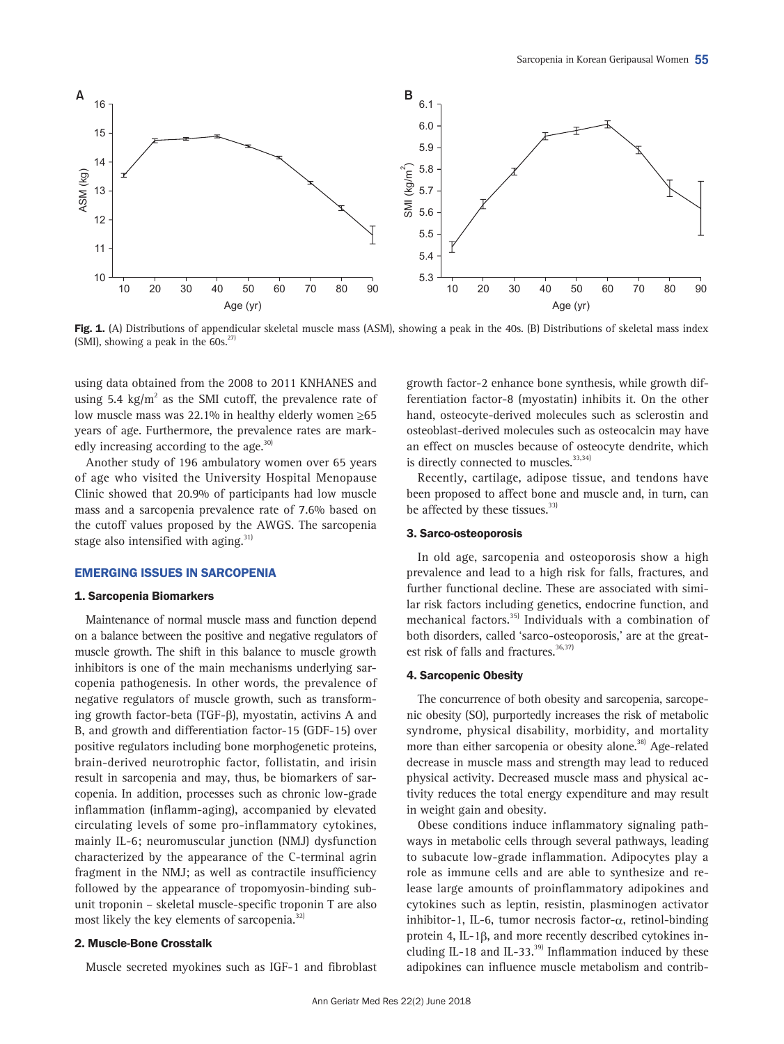

Fig. 1. (A) Distributions of appendicular skeletal muscle mass (ASM), showing a peak in the 40s. (B) Distributions of skeletal mass index (SMI), showing a peak in the  $60s.<sup>27</sup>$ 

using data obtained from the 2008 to 2011 KNHANES and using 5.4 kg/ $m^2$  as the SMI cutoff, the prevalence rate of low muscle mass was 22.1% in healthy elderly women ≥65 years of age. Furthermore, the prevalence rates are markedly increasing according to the age.<sup>30)</sup>

Another study of 196 ambulatory women over 65 years of age who visited the University Hospital Menopause Clinic showed that 20.9% of participants had low muscle mass and a sarcopenia prevalence rate of 7.6% based on the cutoff values proposed by the AWGS. The sarcopenia stage also intensified with aging.<sup>31)</sup>

### EMERGING ISSUES IN SARCOPENIA

# 1. Sarcopenia Biomarkers

Maintenance of normal muscle mass and function depend on a balance between the positive and negative regulators of muscle growth. The shift in this balance to muscle growth inhibitors is one of the main mechanisms underlying sarcopenia pathogenesis. In other words, the prevalence of negative regulators of muscle growth, such as transforming growth factor-beta (TGF- $\beta$ ), myostatin, activins A and B, and growth and differentiation factor-15 (GDF-15) over positive regulators including bone morphogenetic proteins, brain-derived neurotrophic factor, follistatin, and irisin result in sarcopenia and may, thus, be biomarkers of sarcopenia. In addition, processes such as chronic low-grade inflammation (inflamm-aging), accompanied by elevated circulating levels of some pro-inflammatory cytokines, mainly IL-6; neuromuscular junction (NMJ) dysfunction characterized by the appearance of the C-terminal agrin fragment in the NMJ; as well as contractile insufficiency followed by the appearance of tropomyosin-binding subunit troponin – skeletal muscle-specific troponin T are also most likely the key elements of sarcopenia. $^{32}$ 

### 2. Muscle-Bone Crosstalk

Muscle secreted myokines such as IGF-1 and fibroblast

growth factor-2 enhance bone synthesis, while growth differentiation factor-8 (myostatin) inhibits it. On the other hand, osteocyte-derived molecules such as sclerostin and osteoblast-derived molecules such as osteocalcin may have an effect on muscles because of osteocyte dendrite, which is directly connected to muscles.<sup>33,34)</sup>

Recently, cartilage, adipose tissue, and tendons have been proposed to affect bone and muscle and, in turn, can be affected by these tissues.<sup>33)</sup>

### 3. Sarco-osteoporosis

In old age, sarcopenia and osteoporosis show a high prevalence and lead to a high risk for falls, fractures, and further functional decline. These are associated with similar risk factors including genetics, endocrine function, and mechanical factors.<sup>35)</sup> Individuals with a combination of both disorders, called 'sarco-osteoporosis,' are at the greatest risk of falls and fractures. $36,37$ 

### 4. Sarcopenic Obesity

The concurrence of both obesity and sarcopenia, sarcopenic obesity (SO), purportedly increases the risk of metabolic syndrome, physical disability, morbidity, and mortality more than either sarcopenia or obesity alone.<sup>38)</sup> Age-related decrease in muscle mass and strength may lead to reduced physical activity. Decreased muscle mass and physical activity reduces the total energy expenditure and may result in weight gain and obesity.

Obese conditions induce inflammatory signaling pathways in metabolic cells through several pathways, leading to subacute low-grade inflammation. Adipocytes play a role as immune cells and are able to synthesize and release large amounts of proinflammatory adipokines and cytokines such as leptin, resistin, plasminogen activator inhibitor-1, IL-6, tumor necrosis factor- $\alpha$ , retinol-binding protein 4, IL-1ß, and more recently described cytokines including IL-18 and IL-33. $^{39}$  Inflammation induced by these adipokines can influence muscle metabolism and contrib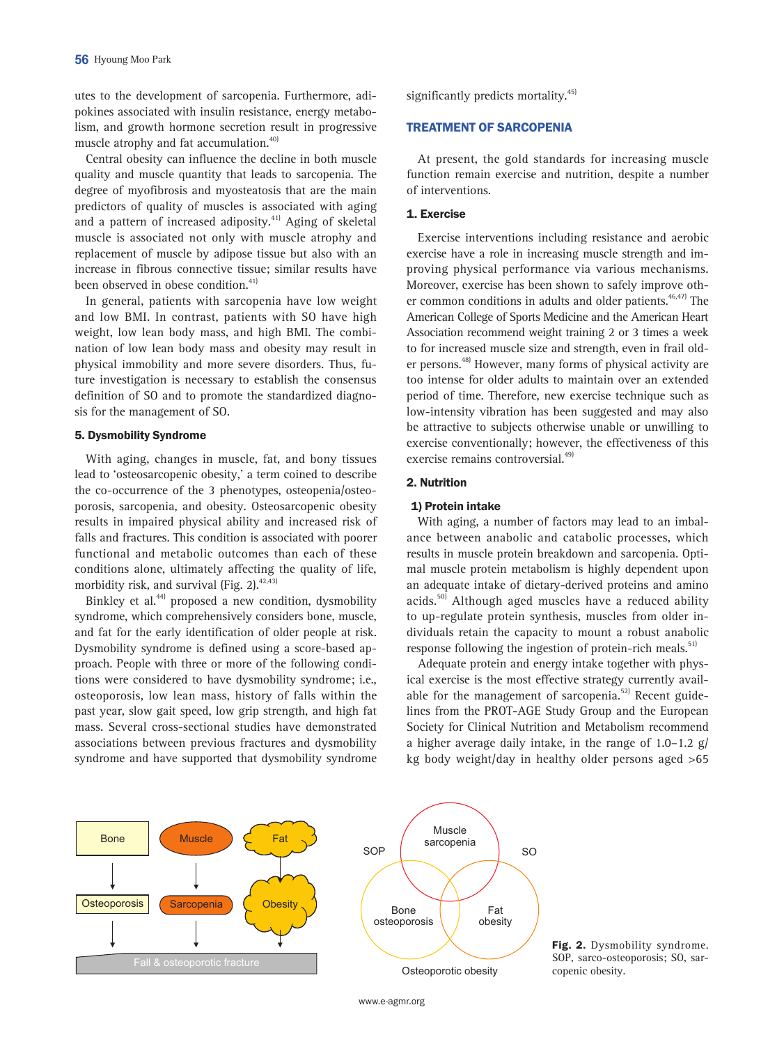utes to the development of sarcopenia. Furthermore, adipokines associated with insulin resistance, energy metabolism, and growth hormone secretion result in progressive muscle atrophy and fat accumulation.<sup>40)</sup>

Central obesity can influence the decline in both muscle quality and muscle quantity that leads to sarcopenia. The degree of myofibrosis and myosteatosis that are the main predictors of quality of muscles is associated with aging and a pattern of increased adiposity.<sup>41)</sup> Aging of skeletal muscle is associated not only with muscle atrophy and replacement of muscle by adipose tissue but also with an increase in fibrous connective tissue; similar results have been observed in obese condition.<sup>41)</sup>

In general, patients with sarcopenia have low weight and low BMI. In contrast, patients with SO have high weight, low lean body mass, and high BMI. The combination of low lean body mass and obesity may result in physical immobility and more severe disorders. Thus, future investigation is necessary to establish the consensus definition of SO and to promote the standardized diagnosis for the management of SO.

# 5. Dysmobility Syndrome

With aging, changes in muscle, fat, and bony tissues lead to 'osteosarcopenic obesity,' a term coined to describe the co-occurrence of the 3 phenotypes, osteopenia/osteoporosis, sarcopenia, and obesity. Osteosarcopenic obesity results in impaired physical ability and increased risk of falls and fractures. This condition is associated with poorer functional and metabolic outcomes than each of these conditions alone, ultimately affecting the quality of life, morbidity risk, and survival (Fig. 2). $42,43$ 

Binkley et al.<sup>44)</sup> proposed a new condition, dysmobility syndrome, which comprehensively considers bone, muscle, and fat for the early identification of older people at risk. Dysmobility syndrome is defined using a score-based approach. People with three or more of the following conditions were considered to have dysmobility syndrome; i.e., osteoporosis, low lean mass, history of falls within the past year, slow gait speed, low grip strength, and high fat mass. Several cross-sectional studies have demonstrated associations between previous fractures and dysmobility syndrome and have supported that dysmobility syndrome

significantly predicts mortality.<sup>45)</sup>

# TREATMENT OF SARCOPENIA

At present, the gold standards for increasing muscle function remain exercise and nutrition, despite a number of interventions.

# 1. Exercise

Exercise interventions including resistance and aerobic exercise have a role in increasing muscle strength and improving physical performance via various mechanisms. Moreover, exercise has been shown to safely improve other common conditions in adults and older patients.  $46,47)$  The American College of Sports Medicine and the American Heart Association recommend weight training 2 or 3 times a week to for increased muscle size and strength, even in frail older persons.48) However, many forms of physical activity are too intense for older adults to maintain over an extended period of time. Therefore, new exercise technique such as low-intensity vibration has been suggested and may also be attractive to subjects otherwise unable or unwilling to exercise conventionally; however, the effectiveness of this exercise remains controversial.<sup>49)</sup>

#### 2. Nutrition

#### 1) Protein intake

With aging, a number of factors may lead to an imbalance between anabolic and catabolic processes, which results in muscle protein breakdown and sarcopenia. Optimal muscle protein metabolism is highly dependent upon an adequate intake of dietary-derived proteins and amino acids.<sup>50)</sup> Although aged muscles have a reduced ability to up-regulate protein synthesis, muscles from older individuals retain the capacity to mount a robust anabolic response following the ingestion of protein-rich meals.<sup>51)</sup>

Adequate protein and energy intake together with physical exercise is the most effective strategy currently available for the management of sarcopenia. $52$  Recent guidelines from the PROT-AGE Study Group and the European Society for Clinical Nutrition and Metabolism recommend a higher average daily intake, in the range of  $1.0-1.2$  g/ kg body weight/day in healthy older persons aged >65



Fig. 2. Dysmobility syndrome. SOP, sarco-osteoporosis; SO, sarcopenic obesity.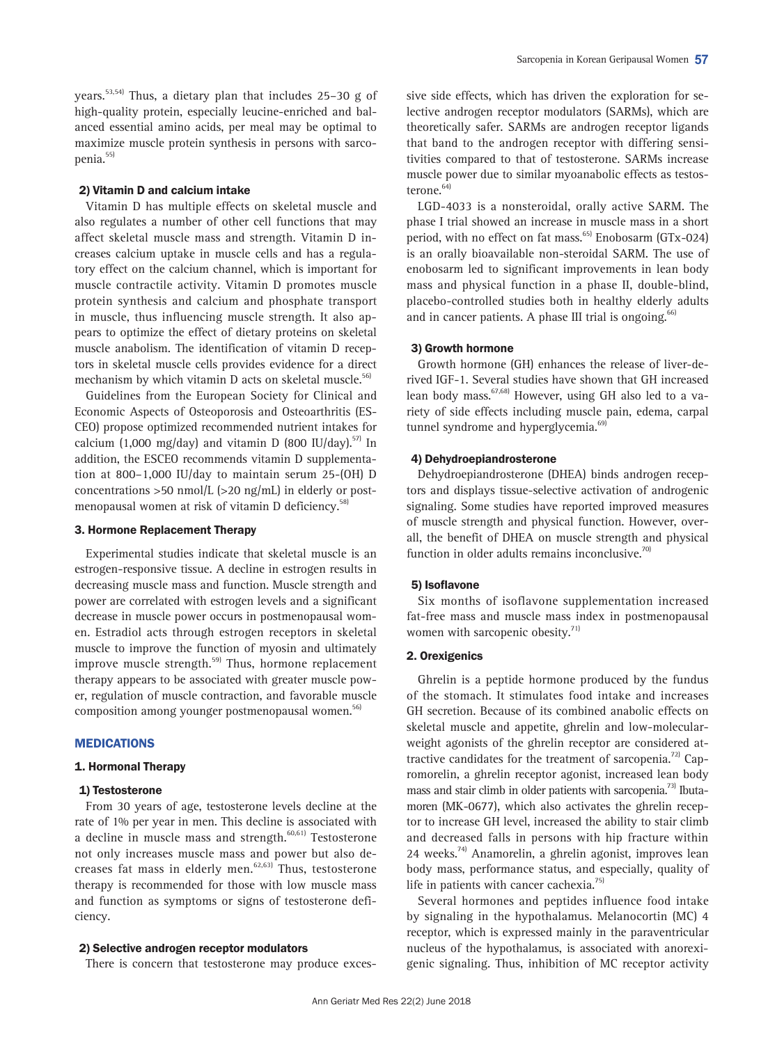years.53,54) Thus, a dietary plan that includes 25–30 g of high-quality protein, especially leucine-enriched and balanced essential amino acids, per meal may be optimal to maximize muscle protein synthesis in persons with sarcopenia.55)

### 2) Vitamin D and calcium intake

Vitamin D has multiple effects on skeletal muscle and also regulates a number of other cell functions that may affect skeletal muscle mass and strength. Vitamin D increases calcium uptake in muscle cells and has a regulatory effect on the calcium channel, which is important for muscle contractile activity. Vitamin D promotes muscle protein synthesis and calcium and phosphate transport in muscle, thus influencing muscle strength. It also appears to optimize the effect of dietary proteins on skeletal muscle anabolism. The identification of vitamin D receptors in skeletal muscle cells provides evidence for a direct mechanism by which vitamin D acts on skeletal muscle.<sup>56)</sup>

Guidelines from the European Society for Clinical and Economic Aspects of Osteoporosis and Osteoarthritis (ES-CEO) propose optimized recommended nutrient intakes for calcium (1,000 mg/day) and vitamin D (800 IU/day).<sup>57)</sup> In addition, the ESCEO recommends vitamin D supplementation at 800–1,000 IU/day to maintain serum 25-(OH) D concentrations >50 nmol/L (>20 ng/mL) in elderly or postmenopausal women at risk of vitamin D deficiency.<sup>58)</sup>

# 3. Hormone Replacement Therapy

Experimental studies indicate that skeletal muscle is an estrogen-responsive tissue. A decline in estrogen results in decreasing muscle mass and function. Muscle strength and power are correlated with estrogen levels and a significant decrease in muscle power occurs in postmenopausal women. Estradiol acts through estrogen receptors in skeletal muscle to improve the function of myosin and ultimately improve muscle strength.<sup>59)</sup> Thus, hormone replacement therapy appears to be associated with greater muscle power, regulation of muscle contraction, and favorable muscle composition among younger postmenopausal women.<sup>56)</sup>

# MEDICATIONS

### 1. Hormonal Therapy

# 1) Testosterone

From 30 years of age, testosterone levels decline at the rate of 1% per year in men. This decline is associated with a decline in muscle mass and strength.<sup>60,61)</sup> Testosterone not only increases muscle mass and power but also decreases fat mass in elderly men.62,63) Thus, testosterone therapy is recommended for those with low muscle mass and function as symptoms or signs of testosterone deficiency.

# 2) Selective androgen receptor modulators

There is concern that testosterone may produce exces-

sive side effects, which has driven the exploration for selective androgen receptor modulators (SARMs), which are theoretically safer. SARMs are androgen receptor ligands that band to the androgen receptor with differing sensitivities compared to that of testosterone. SARMs increase muscle power due to similar myoanabolic effects as testosterone.<sup>64)</sup>

LGD-4033 is a nonsteroidal, orally active SARM. The phase I trial showed an increase in muscle mass in a short period, with no effect on fat mass.<sup>65)</sup> Enobosarm (GTx-024) is an orally bioavailable non-steroidal SARM. The use of enobosarm led to significant improvements in lean body mass and physical function in a phase II, double-blind, placebo-controlled studies both in healthy elderly adults and in cancer patients. A phase III trial is ongoing. $66$ 

# 3) Growth hormone

Growth hormone (GH) enhances the release of liver-derived IGF-1. Several studies have shown that GH increased lean body mass.<sup>67,68)</sup> However, using GH also led to a variety of side effects including muscle pain, edema, carpal tunnel syndrome and hyperglycemia.<sup>69)</sup>

### 4) Dehydroepiandrosterone

Dehydroepiandrosterone (DHEA) binds androgen receptors and displays tissue-selective activation of androgenic signaling. Some studies have reported improved measures of muscle strength and physical function. However, overall, the benefit of DHEA on muscle strength and physical function in older adults remains inconclusive. $70$ 

### 5) Isoflavone

Six months of isoflavone supplementation increased fat-free mass and muscle mass index in postmenopausal women with sarcopenic obesity. $71$ ]

# 2. Orexigenics

Ghrelin is a peptide hormone produced by the fundus of the stomach. It stimulates food intake and increases GH secretion. Because of its combined anabolic effects on skeletal muscle and appetite, ghrelin and low-molecularweight agonists of the ghrelin receptor are considered attractive candidates for the treatment of sarcopenia.<sup>72)</sup> Capromorelin, a ghrelin receptor agonist, increased lean body mass and stair climb in older patients with sarcopenia.<sup>73</sup> Ibutamoren (MK-0677), which also activates the ghrelin receptor to increase GH level, increased the ability to stair climb and decreased falls in persons with hip fracture within 24 weeks.<sup>74)</sup> Anamorelin, a ghrelin agonist, improves lean body mass, performance status, and especially, quality of life in patients with cancer cachexia. $75$ 

Several hormones and peptides influence food intake by signaling in the hypothalamus. Melanocortin (MC) 4 receptor, which is expressed mainly in the paraventricular nucleus of the hypothalamus, is associated with anorexigenic signaling. Thus, inhibition of MC receptor activity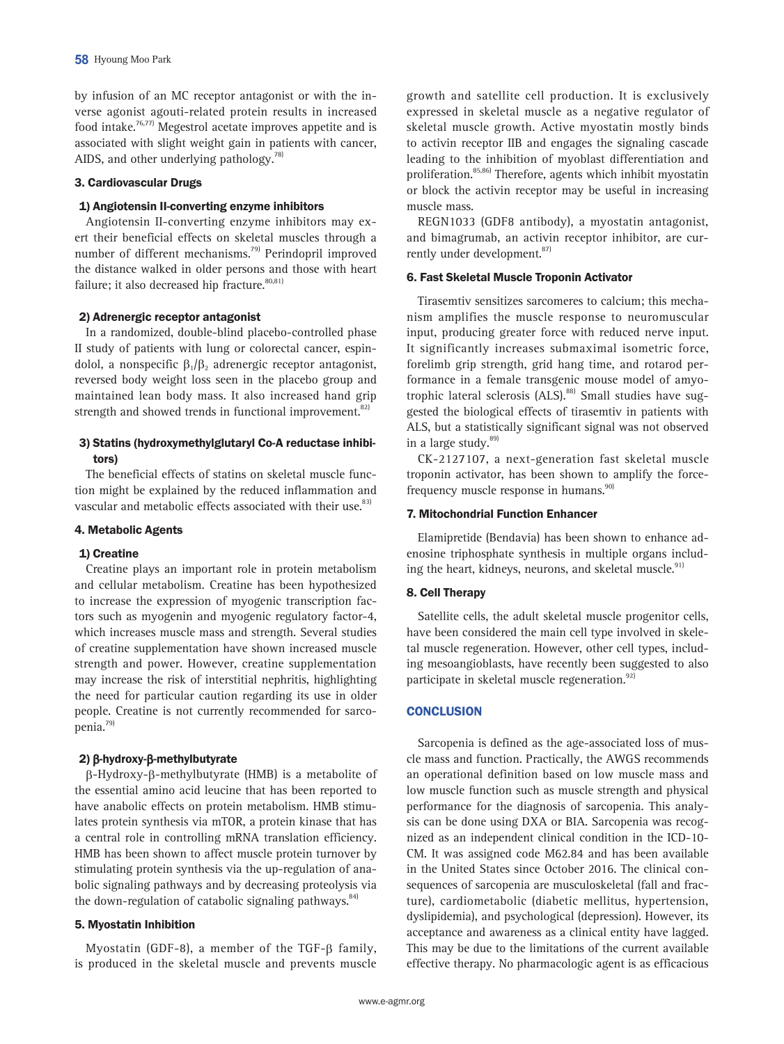by infusion of an MC receptor antagonist or with the inverse agonist agouti-related protein results in increased food intake.76,77) Megestrol acetate improves appetite and is associated with slight weight gain in patients with cancer, AIDS, and other underlying pathology. $^{78}$ 

# 3. Cardiovascular Drugs

# 1) Angiotensin II-converting enzyme inhibitors

Angiotensin II-converting enzyme inhibitors may exert their beneficial effects on skeletal muscles through a number of different mechanisms.<sup>79)</sup> Perindopril improved the distance walked in older persons and those with heart failure; it also decreased hip fracture. $80,81$ ]

# 2) Adrenergic receptor antagonist

In a randomized, double-blind placebo-controlled phase II study of patients with lung or colorectal cancer, espindolol, a nonspecific  $\beta_1/\beta_2$  adrenergic receptor antagonist, reversed body weight loss seen in the placebo group and maintained lean body mass. It also increased hand grip strength and showed trends in functional improvement.<sup>82)</sup>

# 3) Statins (hydroxymethylglutaryl Co-A reductase inhibitors)

The beneficial effects of statins on skeletal muscle function might be explained by the reduced inflammation and vascular and metabolic effects associated with their use.<sup>83)</sup>

# 4. Metabolic Agents

### 1) Creatine

Creatine plays an important role in protein metabolism and cellular metabolism. Creatine has been hypothesized to increase the expression of myogenic transcription factors such as myogenin and myogenic regulatory factor-4, which increases muscle mass and strength. Several studies of creatine supplementation have shown increased muscle strength and power. However, creatine supplementation may increase the risk of interstitial nephritis, highlighting the need for particular caution regarding its use in older people. Creatine is not currently recommended for sarcopenia.79)

# 2)  $\beta$ -hydroxy- $\beta$ -methylbutyrate

b-Hydroxy-b-methylbutyrate (HMB) is a metabolite of the essential amino acid leucine that has been reported to have anabolic effects on protein metabolism. HMB stimulates protein synthesis via mTOR, a protein kinase that has a central role in controlling mRNA translation efficiency. HMB has been shown to affect muscle protein turnover by stimulating protein synthesis via the up-regulation of anabolic signaling pathways and by decreasing proteolysis via the down-regulation of catabolic signaling pathways.<sup>84)</sup>

# 5. Myostatin Inhibition

Myostatin (GDF-8), a member of the TGF- $\beta$  family, is produced in the skeletal muscle and prevents muscle

growth and satellite cell production. It is exclusively expressed in skeletal muscle as a negative regulator of skeletal muscle growth. Active myostatin mostly binds to activin receptor IIB and engages the signaling cascade leading to the inhibition of myoblast differentiation and proliferation.85,86) Therefore, agents which inhibit myostatin or block the activin receptor may be useful in increasing muscle mass.

REGN1033 (GDF8 antibody), a myostatin antagonist, and bimagrumab, an activin receptor inhibitor, are currently under development.<sup>87)</sup>

# 6. Fast Skeletal Muscle Troponin Activator

Tirasemtiv sensitizes sarcomeres to calcium; this mechanism amplifies the muscle response to neuromuscular input, producing greater force with reduced nerve input. It significantly increases submaximal isometric force, forelimb grip strength, grid hang time, and rotarod performance in a female transgenic mouse model of amyotrophic lateral sclerosis  $(ALS)$ .<sup>88)</sup> Small studies have suggested the biological effects of tirasemtiv in patients with ALS, but a statistically significant signal was not observed in a large study.<sup>89)</sup>

CK-2127107, a next-generation fast skeletal muscle troponin activator, has been shown to amplify the forcefrequency muscle response in humans.<sup>90)</sup>

# 7. Mitochondrial Function Enhancer

Elamipretide (Bendavia) has been shown to enhance adenosine triphosphate synthesis in multiple organs including the heart, kidneys, neurons, and skeletal muscle.<sup>91)</sup>

# 8. Cell Therapy

Satellite cells, the adult skeletal muscle progenitor cells, have been considered the main cell type involved in skeletal muscle regeneration. However, other cell types, including mesoangioblasts, have recently been suggested to also participate in skeletal muscle regeneration.<sup>92)</sup>

# **CONCLUSION**

Sarcopenia is defined as the age-associated loss of muscle mass and function. Practically, the AWGS recommends an operational definition based on low muscle mass and low muscle function such as muscle strength and physical performance for the diagnosis of sarcopenia. This analysis can be done using DXA or BIA. Sarcopenia was recognized as an independent clinical condition in the ICD-10- CM. It was assigned code M62.84 and has been available in the United States since October 2016. The clinical consequences of sarcopenia are musculoskeletal (fall and fracture), cardiometabolic (diabetic mellitus, hypertension, dyslipidemia), and psychological (depression). However, its acceptance and awareness as a clinical entity have lagged. This may be due to the limitations of the current available effective therapy. No pharmacologic agent is as efficacious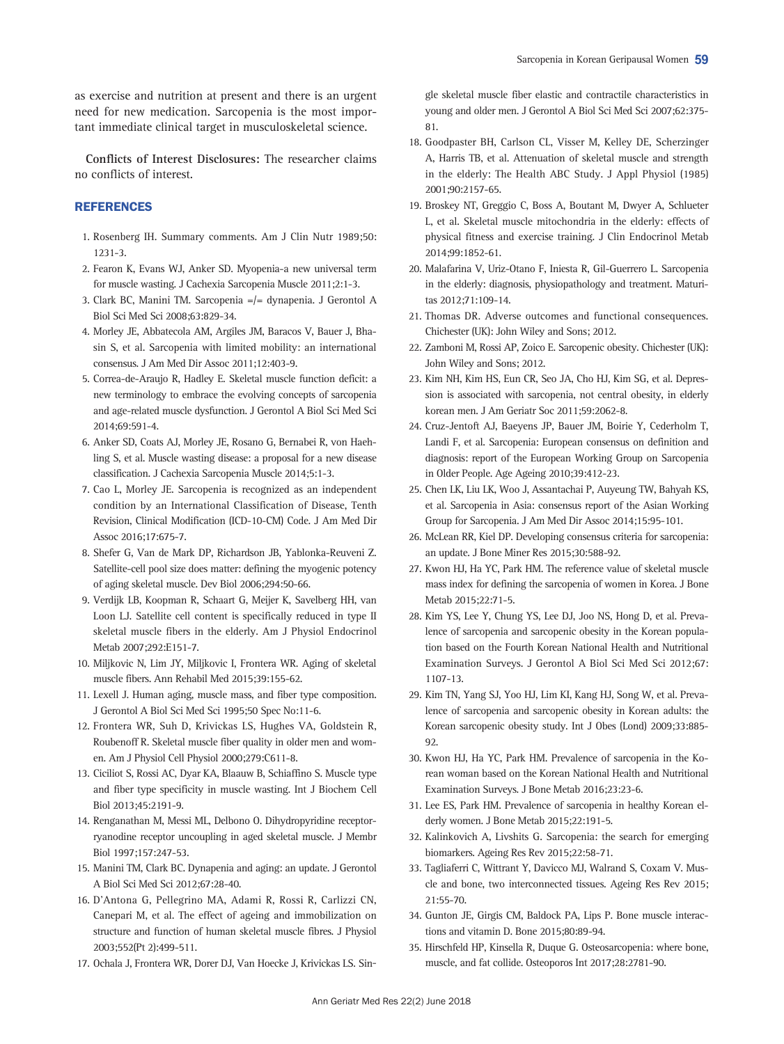as exercise and nutrition at present and there is an urgent need for new medication. Sarcopenia is the most important immediate clinical target in musculoskeletal science.

Conflicts of Interest Disclosures: The researcher claims no conflicts of interest.

# **REFERENCES**

- 1. Rosenberg IH. Summary comments. Am J Clin Nutr 1989;50: 1231-3.
- 2. Fearon K, Evans WJ, Anker SD. Myopenia-a new universal term for muscle wasting. J Cachexia Sarcopenia Muscle 2011;2:1-3.
- 3. Clark BC, Manini TM. Sarcopenia =/= dynapenia. J Gerontol A Biol Sci Med Sci 2008;63:829-34.
- 4. Morley JE, Abbatecola AM, Argiles JM, Baracos V, Bauer J, Bhasin S, et al. Sarcopenia with limited mobility: an international consensus. J Am Med Dir Assoc 2011;12:403-9.
- 5. Correa-de-Araujo R, Hadley E. Skeletal muscle function deficit: a new terminology to embrace the evolving concepts of sarcopenia and age-related muscle dysfunction. J Gerontol A Biol Sci Med Sci 2014;69:591-4.
- 6. Anker SD, Coats AJ, Morley JE, Rosano G, Bernabei R, von Haehling S, et al. Muscle wasting disease: a proposal for a new disease classification. J Cachexia Sarcopenia Muscle 2014;5:1-3.
- 7. Cao L, Morley JE. Sarcopenia is recognized as an independent condition by an International Classification of Disease, Tenth Revision, Clinical Modification (ICD-10-CM) Code. J Am Med Dir Assoc 2016;17:675-7.
- 8. Shefer G, Van de Mark DP, Richardson JB, Yablonka-Reuveni Z. Satellite-cell pool size does matter: defining the myogenic potency of aging skeletal muscle. Dev Biol 2006;294:50-66.
- 9. Verdijk LB, Koopman R, Schaart G, Meijer K, Savelberg HH, van Loon LJ. Satellite cell content is specifically reduced in type II skeletal muscle fibers in the elderly. Am J Physiol Endocrinol Metab 2007;292:E151-7.
- 10. Miljkovic N, Lim JY, Miljkovic I, Frontera WR. Aging of skeletal muscle fibers. Ann Rehabil Med 2015;39:155-62.
- 11. Lexell J. Human aging, muscle mass, and fiber type composition. J Gerontol A Biol Sci Med Sci 1995;50 Spec No:11-6.
- 12. Frontera WR, Suh D, Krivickas LS, Hughes VA, Goldstein R, Roubenoff R. Skeletal muscle fiber quality in older men and women. Am J Physiol Cell Physiol 2000;279:C611-8.
- 13. Ciciliot S, Rossi AC, Dyar KA, Blaauw B, Schiaffino S. Muscle type and fiber type specificity in muscle wasting. Int J Biochem Cell Biol 2013;45:2191-9.
- 14. Renganathan M, Messi ML, Delbono O. Dihydropyridine receptorryanodine receptor uncoupling in aged skeletal muscle. J Membr Biol 1997;157:247-53.
- 15. Manini TM, Clark BC. Dynapenia and aging: an update. J Gerontol A Biol Sci Med Sci 2012;67:28-40.
- 16. D'Antona G, Pellegrino MA, Adami R, Rossi R, Carlizzi CN, Canepari M, et al. The effect of ageing and immobilization on structure and function of human skeletal muscle fibres. J Physiol 2003;552(Pt 2):499-511.
- 17. Ochala J, Frontera WR, Dorer DJ, Van Hoecke J, Krivickas LS. Sin-

gle skeletal muscle fiber elastic and contractile characteristics in young and older men. J Gerontol A Biol Sci Med Sci 2007;62:375- 81.

- 18. Goodpaster BH, Carlson CL, Visser M, Kelley DE, Scherzinger A, Harris TB, et al. Attenuation of skeletal muscle and strength in the elderly: The Health ABC Study. J Appl Physiol (1985) 2001;90:2157-65.
- 19. Broskey NT, Greggio C, Boss A, Boutant M, Dwyer A, Schlueter L, et al. Skeletal muscle mitochondria in the elderly: effects of physical fitness and exercise training. J Clin Endocrinol Metab 2014;99:1852-61.
- 20. Malafarina V, Uriz-Otano F, Iniesta R, Gil-Guerrero L. Sarcopenia in the elderly: diagnosis, physiopathology and treatment. Maturitas 2012;71:109-14.
- 21. Thomas DR. Adverse outcomes and functional consequences. Chichester (UK): John Wiley and Sons; 2012.
- 22. Zamboni M, Rossi AP, Zoico E. Sarcopenic obesity. Chichester (UK): John Wiley and Sons; 2012.
- 23. Kim NH, Kim HS, Eun CR, Seo JA, Cho HJ, Kim SG, et al. Depression is associated with sarcopenia, not central obesity, in elderly korean men. J Am Geriatr Soc 2011;59:2062-8.
- 24. Cruz-Jentoft AJ, Baeyens JP, Bauer JM, Boirie Y, Cederholm T, Landi F, et al. Sarcopenia: European consensus on definition and diagnosis: report of the European Working Group on Sarcopenia in Older People. Age Ageing 2010;39:412-23.
- 25. Chen LK, Liu LK, Woo J, Assantachai P, Auyeung TW, Bahyah KS, et al. Sarcopenia in Asia: consensus report of the Asian Working Group for Sarcopenia. J Am Med Dir Assoc 2014;15:95-101.
- 26. McLean RR, Kiel DP. Developing consensus criteria for sarcopenia: an update. J Bone Miner Res 2015;30:588-92.
- 27. Kwon HJ, Ha YC, Park HM. The reference value of skeletal muscle mass index for defining the sarcopenia of women in Korea. J Bone Metab 2015;22:71-5.
- 28. Kim YS, Lee Y, Chung YS, Lee DJ, Joo NS, Hong D, et al. Prevalence of sarcopenia and sarcopenic obesity in the Korean population based on the Fourth Korean National Health and Nutritional Examination Surveys. J Gerontol A Biol Sci Med Sci 2012;67: 1107-13.
- 29. Kim TN, Yang SJ, Yoo HJ, Lim KI, Kang HJ, Song W, et al. Prevalence of sarcopenia and sarcopenic obesity in Korean adults: the Korean sarcopenic obesity study. Int J Obes (Lond) 2009;33:885- 92.
- 30. Kwon HJ, Ha YC, Park HM. Prevalence of sarcopenia in the Korean woman based on the Korean National Health and Nutritional Examination Surveys. J Bone Metab 2016;23:23-6.
- 31. Lee ES, Park HM. Prevalence of sarcopenia in healthy Korean elderly women. J Bone Metab 2015;22:191-5.
- 32. Kalinkovich A, Livshits G. Sarcopenia: the search for emerging biomarkers. Ageing Res Rev 2015;22:58-71.
- 33. Tagliaferri C, Wittrant Y, Davicco MJ, Walrand S, Coxam V. Muscle and bone, two interconnected tissues. Ageing Res Rev 2015; 21:55-70.
- 34. Gunton JE, Girgis CM, Baldock PA, Lips P. Bone muscle interactions and vitamin D. Bone 2015;80:89-94.
- 35. Hirschfeld HP, Kinsella R, Duque G. Osteosarcopenia: where bone, muscle, and fat collide. Osteoporos Int 2017;28:2781-90.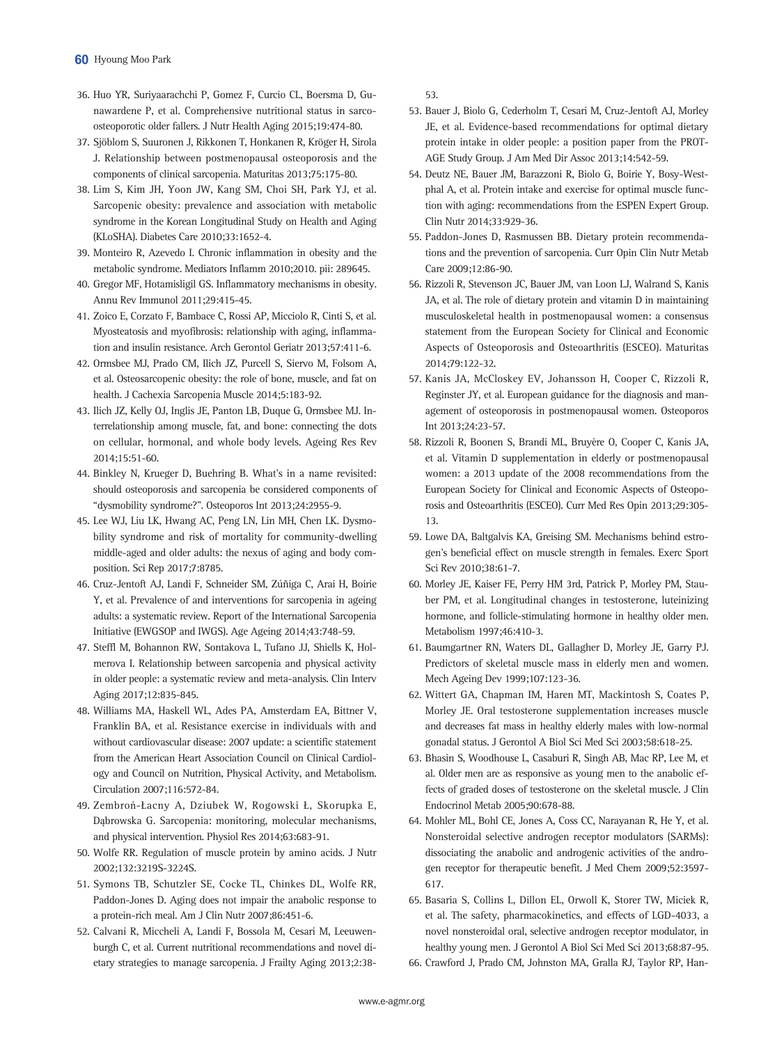- 36. Huo YR, Suriyaarachchi P, Gomez F, Curcio CL, Boersma D, Gunawardene P, et al. Comprehensive nutritional status in sarcoosteoporotic older fallers. J Nutr Health Aging 2015;19:474-80.
- 37. Sjöblom S, Suuronen J, Rikkonen T, Honkanen R, Kröger H, Sirola J. Relationship between postmenopausal osteoporosis and the components of clinical sarcopenia. Maturitas 2013;75:175-80.
- 38. Lim S, Kim JH, Yoon JW, Kang SM, Choi SH, Park YJ, et al. Sarcopenic obesity: prevalence and association with metabolic syndrome in the Korean Longitudinal Study on Health and Aging (KLoSHA). Diabetes Care 2010;33:1652-4.
- 39. Monteiro R, Azevedo I. Chronic inflammation in obesity and the metabolic syndrome. Mediators Inflamm 2010;2010. pii: 289645.
- 40. Gregor MF, Hotamisligil GS. Inflammatory mechanisms in obesity. Annu Rev Immunol 2011;29:415-45.
- 41. Zoico E, Corzato F, Bambace C, Rossi AP, Micciolo R, Cinti S, et al. Myosteatosis and myofibrosis: relationship with aging, inflammation and insulin resistance. Arch Gerontol Geriatr 2013;57:411-6.
- 42. Ormsbee MJ, Prado CM, Ilich JZ, Purcell S, Siervo M, Folsom A, et al. Osteosarcopenic obesity: the role of bone, muscle, and fat on health. J Cachexia Sarcopenia Muscle 2014;5:183-92.
- 43. Ilich JZ, Kelly OJ, Inglis JE, Panton LB, Duque G, Ormsbee MJ. Interrelationship among muscle, fat, and bone: connecting the dots on cellular, hormonal, and whole body levels. Ageing Res Rev 2014;15:51-60.
- 44. Binkley N, Krueger D, Buehring B. What's in a name revisited: should osteoporosis and sarcopenia be considered components of "dysmobility syndrome?". Osteoporos Int 2013;24:2955-9.
- 45. Lee WJ, Liu LK, Hwang AC, Peng LN, Lin MH, Chen LK. Dysmobility syndrome and risk of mortality for community-dwelling middle-aged and older adults: the nexus of aging and body composition. Sci Rep 2017;7:8785.
- 46. Cruz-Jentoft AJ, Landi F, Schneider SM, Zúñiga C, Arai H, Boirie Y, et al. Prevalence of and interventions for sarcopenia in ageing adults: a systematic review. Report of the International Sarcopenia Initiative (EWGSOP and IWGS). Age Ageing 2014;43:748-59.
- 47. Steffl M, Bohannon RW, Sontakova L, Tufano JJ, Shiells K, Holmerova I. Relationship between sarcopenia and physical activity in older people: a systematic review and meta-analysis. Clin Interv Aging 2017;12:835-845.
- 48. Williams MA, Haskell WL, Ades PA, Amsterdam EA, Bittner V, Franklin BA, et al. Resistance exercise in individuals with and without cardiovascular disease: 2007 update: a scientific statement from the American Heart Association Council on Clinical Cardiology and Council on Nutrition, Physical Activity, and Metabolism. Circulation 2007;116:572-84.
- 49. Zembroń-Łacny A, Dziubek W, Rogowski Ł, Skorupka E, Dąbrowska G. Sarcopenia: monitoring, molecular mechanisms, and physical intervention. Physiol Res 2014;63:683-91.
- 50. Wolfe RR. Regulation of muscle protein by amino acids. J Nutr 2002;132:3219S-3224S.
- 51. Symons TB, Schutzler SE, Cocke TL, Chinkes DL, Wolfe RR, Paddon-Jones D. Aging does not impair the anabolic response to a protein-rich meal. Am J Clin Nutr 2007;86:451-6.
- 52. Calvani R, Miccheli A, Landi F, Bossola M, Cesari M, Leeuwenburgh C, et al. Current nutritional recommendations and novel dietary strategies to manage sarcopenia. J Frailty Aging 2013;2:38-

53.

- 53. Bauer J, Biolo G, Cederholm T, Cesari M, Cruz-Jentoft AJ, Morley JE, et al. Evidence-based recommendations for optimal dietary protein intake in older people: a position paper from the PROT-AGE Study Group. J Am Med Dir Assoc 2013;14:542-59.
- 54. Deutz NE, Bauer JM, Barazzoni R, Biolo G, Boirie Y, Bosy-Westphal A, et al. Protein intake and exercise for optimal muscle function with aging: recommendations from the ESPEN Expert Group. Clin Nutr 2014;33:929-36.
- 55. Paddon-Jones D, Rasmussen BB. Dietary protein recommendations and the prevention of sarcopenia. Curr Opin Clin Nutr Metab Care 2009;12:86-90.
- 56. Rizzoli R, Stevenson JC, Bauer JM, van Loon LJ, Walrand S, Kanis JA, et al. The role of dietary protein and vitamin D in maintaining musculoskeletal health in postmenopausal women: a consensus statement from the European Society for Clinical and Economic Aspects of Osteoporosis and Osteoarthritis (ESCEO). Maturitas 2014;79:122-32.
- 57. Kanis JA, McCloskey EV, Johansson H, Cooper C, Rizzoli R, Reginster JY, et al. European guidance for the diagnosis and management of osteoporosis in postmenopausal women. Osteoporos Int 2013;24:23-57.
- 58. Rizzoli R, Boonen S, Brandi ML, Bruyère O, Cooper C, Kanis JA, et al. Vitamin D supplementation in elderly or postmenopausal women: a 2013 update of the 2008 recommendations from the European Society for Clinical and Economic Aspects of Osteoporosis and Osteoarthritis (ESCEO). Curr Med Res Opin 2013;29:305- 13.
- 59. Lowe DA, Baltgalvis KA, Greising SM. Mechanisms behind estrogen's beneficial effect on muscle strength in females. Exerc Sport Sci Rev 2010;38:61-7.
- 60. Morley JE, Kaiser FE, Perry HM 3rd, Patrick P, Morley PM, Stauber PM, et al. Longitudinal changes in testosterone, luteinizing hormone, and follicle-stimulating hormone in healthy older men. Metabolism 1997;46:410-3.
- 61. Baumgartner RN, Waters DL, Gallagher D, Morley JE, Garry PJ. Predictors of skeletal muscle mass in elderly men and women. Mech Ageing Dev 1999;107:123-36.
- 62. Wittert GA, Chapman IM, Haren MT, Mackintosh S, Coates P, Morley JE. Oral testosterone supplementation increases muscle and decreases fat mass in healthy elderly males with low-normal gonadal status. J Gerontol A Biol Sci Med Sci 2003;58:618-25.
- 63. Bhasin S, Woodhouse L, Casaburi R, Singh AB, Mac RP, Lee M, et al. Older men are as responsive as young men to the anabolic effects of graded doses of testosterone on the skeletal muscle. J Clin Endocrinol Metab 2005;90:678-88.
- 64. Mohler ML, Bohl CE, Jones A, Coss CC, Narayanan R, He Y, et al. Nonsteroidal selective androgen receptor modulators (SARMs): dissociating the anabolic and androgenic activities of the androgen receptor for therapeutic benefit. J Med Chem 2009;52:3597- 617.
- 65. Basaria S, Collins L, Dillon EL, Orwoll K, Storer TW, Miciek R, et al. The safety, pharmacokinetics, and effects of LGD-4033, a novel nonsteroidal oral, selective androgen receptor modulator, in healthy young men. J Gerontol A Biol Sci Med Sci 2013;68:87-95.
- 66. Crawford J, Prado CM, Johnston MA, Gralla RJ, Taylor RP, Han-